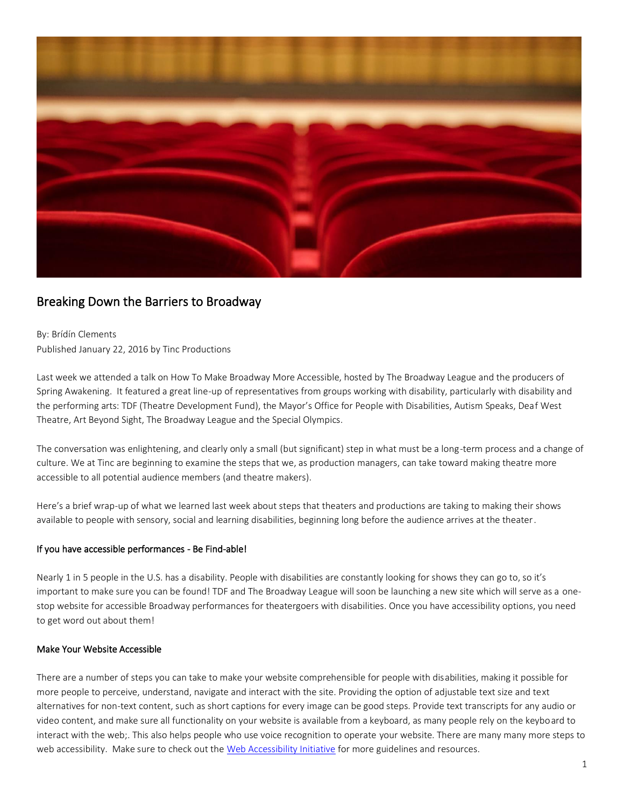

# Breaking Down the Barriers to Broadway

By: Brídín Clements Published January 22, 2016 by Tinc Productions

Last week we attended a talk on How To Make Broadway More Accessible, hosted by The Broadway League and the producers of Spring Awakening. It featured a great line-up of representatives from groups working with disability, particularly with disability and the performing arts: TDF (Theatre Development Fund), the Mayor's Office for People with Disabilities, Autism Speaks, Deaf West Theatre, Art Beyond Sight, The Broadway League and the Special Olympics.

The conversation was enlightening, and clearly only a small (but significant) step in what must be a long-term process and a change of culture. We at Tinc are beginning to examine the steps that we, as production managers, can take toward making theatre more accessible to all potential audience members (and theatre makers).

Here's a brief wrap-up of what we learned last week about steps that theaters and productions are taking to making their shows available to people with sensory, social and learning disabilities, beginning long before the audience arrives at the theater.

### If you have accessible performances - Be Find-able!

Nearly 1 in 5 people in the U.S. has a disability. People with disabilities are constantly looking for shows they can go to, so it's important to make sure you can be found! TDF and The Broadway League will soon be launching a new site which will serve as a onestop website for accessible Broadway performances for theatergoers with disabilities. Once you have accessibility options, you need to get word out about them!

### Make Your Website Accessible

There are a number of steps you can take to make your website comprehensible for people with disabilities, making it possible for more people to perceive, understand, navigate and interact with the site. Providing the option of adjustable text size and text alternatives for non-text content, such as short captions for every image can be good steps. Provide text transcripts for any audio or video content, and make sure all functionality on your website is available from a keyboard, as many people rely on the keyboard to interact with the web;. This also helps people who use voice recognition to operate your website. There are many many more steps to web accessibility. Make sure to check out the [Web Accessibility Initiative](https://www.w3.org/WAI/impl/improving) for more guidelines and resources.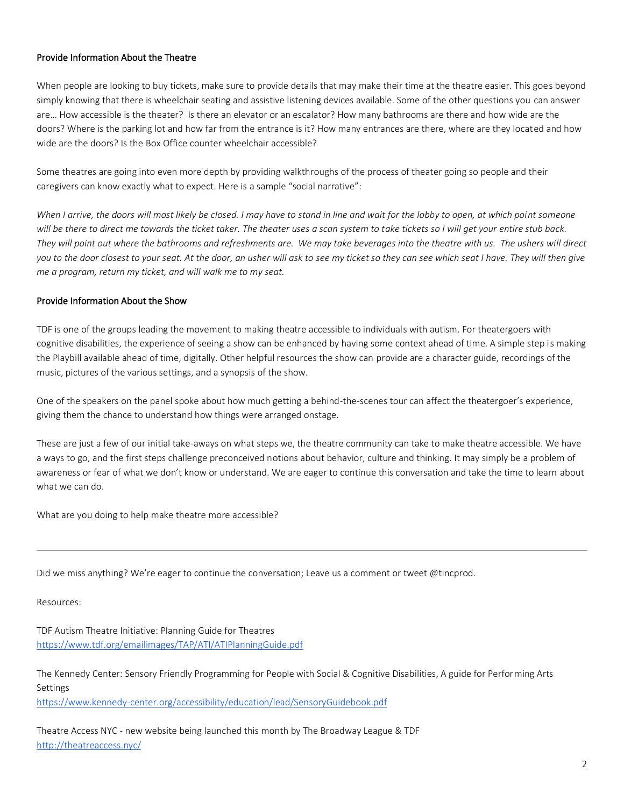# Provide Information About the Theatre

When people are looking to buy tickets, make sure to provide details that may make their time at the theatre easier. This goes beyond simply knowing that there is wheelchair seating and assistive listening devices available. Some of the other questions you can answer are… How accessible is the theater? Is there an elevator or an escalator? How many bathrooms are there and how wide are the doors? Where is the parking lot and how far from the entrance is it? How many entrances are there, where are they located and how wide are the doors? Is the Box Office counter wheelchair accessible?

Some theatres are going into even more depth by providing walkthroughs of the process of theater going so people and their caregivers can know exactly what to expect. Here is a sample "social narrative":

When I arrive, the doors will most likely be closed. I may have to stand in line and wait for the lobby to open, at which point someone *will be there to direct me towards the ticket taker. The theater uses a scan system to take tickets so I will get your entire stub back. They will point out where the bathrooms and refreshments are. We may take beverages into the theatre with us. The ushers will direct you to the door closest to your seat. At the door, an usher will ask to see my ticket so they can see which seat I have. They will then give me a program, return my ticket, and will walk me to my seat.* 

# Provide Information About the Show

TDF is one of the groups leading the movement to making theatre accessible to individuals with autism. For theatergoers with cognitive disabilities, the experience of seeing a show can be enhanced by having some context ahead of time. A simple step is making the Playbill available ahead of time, digitally. Other helpful resources the show can provide are a character guide, recordings of the music, pictures of the various settings, and a synopsis of the show.

One of the speakers on the panel spoke about how much getting a behind-the-scenes tour can affect the theatergoer's experience, giving them the chance to understand how things were arranged onstage.

These are just a few of our initial take-aways on what steps we, the theatre community can take to make theatre accessible. We have a ways to go, and the first steps challenge preconceived notions about behavior, culture and thinking. It may simply be a problem of awareness or fear of what we don't know or understand. We are eager to continue this conversation and take the time to learn about what we can do.

What are you doing to help make theatre more accessible?

Did we miss anything? We're eager to continue the conversation; Leave us a comment or tweet @tincprod.

Resources:

TDF Autism Theatre Initiative: Planning Guide for Theatres <https://www.tdf.org/emailimages/TAP/ATI/ATIPlanningGuide.pdf>

The Kennedy Center: Sensory Friendly Programming for People with Social & Cognitive Disabilities, A guide for Performing Arts Settings <https://www.kennedy-center.org/accessibility/education/lead/SensoryGuidebook.pdf>

Theatre Access NYC - new website being launched this month by The Broadway League & TDF <http://theatreaccess.nyc/>